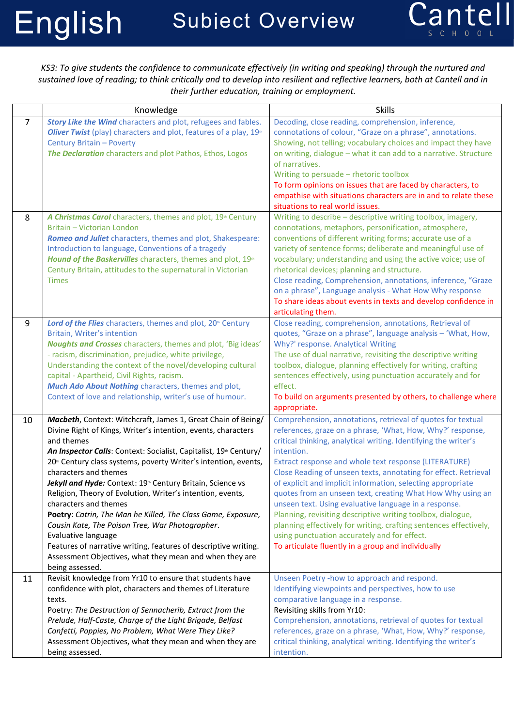## English Subiect Overview



*KS3: To give students the confidence to communicate effectively (in writing and speaking) through the nurtured and sustained love of reading; to think critically and to develop into resilient and reflective learners, both at Cantell and in their further education, training or employment.*

|                | Knowledge                                                                                                                                                                                                                                                                                                                                                                                                                                                                                                                                                                                                                                                                                                                                                                                        | <b>Skills</b>                                                                                                                                                                                                                                                                                                                                                                                                                                                                                                                                                                                                                                                                                                                                                          |
|----------------|--------------------------------------------------------------------------------------------------------------------------------------------------------------------------------------------------------------------------------------------------------------------------------------------------------------------------------------------------------------------------------------------------------------------------------------------------------------------------------------------------------------------------------------------------------------------------------------------------------------------------------------------------------------------------------------------------------------------------------------------------------------------------------------------------|------------------------------------------------------------------------------------------------------------------------------------------------------------------------------------------------------------------------------------------------------------------------------------------------------------------------------------------------------------------------------------------------------------------------------------------------------------------------------------------------------------------------------------------------------------------------------------------------------------------------------------------------------------------------------------------------------------------------------------------------------------------------|
| $\overline{7}$ | Story Like the Wind characters and plot, refugees and fables.<br>Oliver Twist (play) characters and plot, features of a play, 19 <sup>th</sup><br>Century Britain - Poverty<br>The Declaration characters and plot Pathos, Ethos, Logos                                                                                                                                                                                                                                                                                                                                                                                                                                                                                                                                                          | Decoding, close reading, comprehension, inference,<br>connotations of colour, "Graze on a phrase", annotations.<br>Showing, not telling; vocabulary choices and impact they have<br>on writing, dialogue - what it can add to a narrative. Structure<br>of narratives.<br>Writing to persuade - rhetoric toolbox<br>To form opinions on issues that are faced by characters, to<br>empathise with situations characters are in and to relate these<br>situations to real world issues.                                                                                                                                                                                                                                                                                 |
| 8              | A Christmas Carol characters, themes and plot, 19 <sup>th</sup> Century<br>Britain - Victorian London<br>Romeo and Juliet characters, themes and plot, Shakespeare:<br>Introduction to language, Conventions of a tragedy<br>Hound of the Baskervilles characters, themes and plot, 19 <sup>th</sup><br>Century Britain, attitudes to the supernatural in Victorian<br><b>Times</b>                                                                                                                                                                                                                                                                                                                                                                                                              | Writing to describe - descriptive writing toolbox, imagery,<br>connotations, metaphors, personification, atmosphere,<br>conventions of different writing forms; accurate use of a<br>variety of sentence forms; deliberate and meaningful use of<br>vocabulary; understanding and using the active voice; use of<br>rhetorical devices; planning and structure.<br>Close reading, Comprehension, annotations, inference, "Graze<br>on a phrase", Language analysis - What How Why response<br>To share ideas about events in texts and develop confidence in<br>articulating them.                                                                                                                                                                                     |
| 9              | Lord of the Flies characters, themes and plot, 20 <sup>th</sup> Century<br>Britain, Writer's intention<br>Noughts and Crosses characters, themes and plot, 'Big ideas'<br>- racism, discrimination, prejudice, white privilege,<br>Understanding the context of the novel/developing cultural<br>capital - Apartheid, Civil Rights, racism.<br>Much Ado About Nothing characters, themes and plot,<br>Context of love and relationship, writer's use of humour.                                                                                                                                                                                                                                                                                                                                  | Close reading, comprehension, annotations, Retrieval of<br>quotes, "Graze on a phrase", language analysis - 'What, How,<br>Why?' response. Analytical Writing<br>The use of dual narrative, revisiting the descriptive writing<br>toolbox, dialogue, planning effectively for writing, crafting<br>sentences effectively, using punctuation accurately and for<br>effect.<br>To build on arguments presented by others, to challenge where<br>appropriate.                                                                                                                                                                                                                                                                                                             |
| 10             | Macbeth, Context: Witchcraft, James 1, Great Chain of Being/<br>Divine Right of Kings, Writer's intention, events, characters<br>and themes<br>An Inspector Calls: Context: Socialist, Capitalist, 19 <sup>th</sup> Century/<br>20 <sup>th</sup> Century class systems, poverty Writer's intention, events,<br>characters and themes<br>Jekyll and Hyde: Context: 19 <sup>th</sup> Century Britain, Science vs<br>Religion, Theory of Evolution, Writer's intention, events,<br>characters and themes<br>Poetry: Catrin, The Man he Killed, The Class Game, Exposure,<br>Cousin Kate, The Poison Tree, War Photographer.<br>Evaluative language<br>Features of narrative writing, features of descriptive writing.<br>Assessment Objectives, what they mean and when they are<br>being assessed. | Comprehension, annotations, retrieval of quotes for textual<br>references, graze on a phrase, 'What, How, Why?' response,<br>critical thinking, analytical writing. Identifying the writer's<br>intention.<br>Extract response and whole text response (LITERATURE)<br>Close Reading of unseen texts, annotating for effect. Retrieval<br>of explicit and implicit information, selecting appropriate<br>quotes from an unseen text, creating What How Why using an<br>unseen text. Using evaluative language in a response.<br>Planning, revisiting descriptive writing toolbox, dialogue,<br>planning effectively for writing, crafting sentences effectively,<br>using punctuation accurately and for effect.<br>To articulate fluently in a group and individually |
| 11             | Revisit knowledge from Yr10 to ensure that students have<br>confidence with plot, characters and themes of Literature<br>texts.<br>Poetry: The Destruction of Sennacherib, Extract from the<br>Prelude, Half-Caste, Charge of the Light Brigade, Belfast<br>Confetti, Poppies, No Problem, What Were They Like?<br>Assessment Objectives, what they mean and when they are<br>being assessed.                                                                                                                                                                                                                                                                                                                                                                                                    | Unseen Poetry -how to approach and respond.<br>Identifying viewpoints and perspectives, how to use<br>comparative language in a response.<br>Revisiting skills from Yr10:<br>Comprehension, annotations, retrieval of quotes for textual<br>references, graze on a phrase, 'What, How, Why?' response,<br>critical thinking, analytical writing. Identifying the writer's<br>intention.                                                                                                                                                                                                                                                                                                                                                                                |